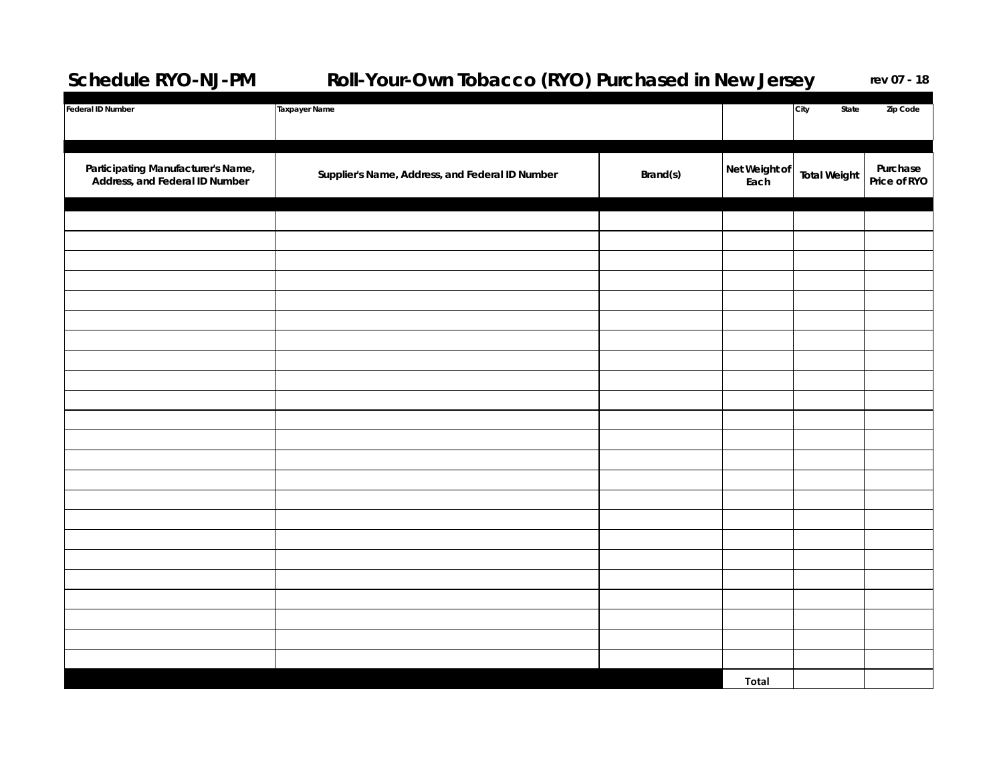## **Schedule RYO-NJ-PM Roll-Your-Own Tobacco (RYO) Purchased in New Jersey**

| rev <sub>07</sub> |  |  | 18 |
|-------------------|--|--|----|
|-------------------|--|--|----|

| <b>Federal ID Number</b><br>Taxpayer Name<br>City<br>State<br>Zip Code<br>Participating Manufacturer's Name,<br>Address, and Federal ID Number<br>Net Weight of<br>Purchase<br>Supplier's Name, Address, and Federal ID Number<br>Brand(s)<br><b>Total Weight</b><br>Price of RYO<br>Each |
|-------------------------------------------------------------------------------------------------------------------------------------------------------------------------------------------------------------------------------------------------------------------------------------------|
|                                                                                                                                                                                                                                                                                           |
|                                                                                                                                                                                                                                                                                           |
|                                                                                                                                                                                                                                                                                           |
|                                                                                                                                                                                                                                                                                           |
|                                                                                                                                                                                                                                                                                           |
|                                                                                                                                                                                                                                                                                           |
|                                                                                                                                                                                                                                                                                           |
|                                                                                                                                                                                                                                                                                           |
|                                                                                                                                                                                                                                                                                           |
|                                                                                                                                                                                                                                                                                           |
|                                                                                                                                                                                                                                                                                           |
|                                                                                                                                                                                                                                                                                           |
|                                                                                                                                                                                                                                                                                           |
|                                                                                                                                                                                                                                                                                           |
|                                                                                                                                                                                                                                                                                           |
|                                                                                                                                                                                                                                                                                           |
|                                                                                                                                                                                                                                                                                           |
|                                                                                                                                                                                                                                                                                           |
|                                                                                                                                                                                                                                                                                           |
|                                                                                                                                                                                                                                                                                           |
|                                                                                                                                                                                                                                                                                           |
|                                                                                                                                                                                                                                                                                           |
|                                                                                                                                                                                                                                                                                           |
|                                                                                                                                                                                                                                                                                           |
|                                                                                                                                                                                                                                                                                           |
|                                                                                                                                                                                                                                                                                           |
|                                                                                                                                                                                                                                                                                           |
|                                                                                                                                                                                                                                                                                           |
|                                                                                                                                                                                                                                                                                           |
|                                                                                                                                                                                                                                                                                           |
|                                                                                                                                                                                                                                                                                           |
|                                                                                                                                                                                                                                                                                           |
|                                                                                                                                                                                                                                                                                           |
|                                                                                                                                                                                                                                                                                           |
|                                                                                                                                                                                                                                                                                           |
|                                                                                                                                                                                                                                                                                           |
|                                                                                                                                                                                                                                                                                           |
|                                                                                                                                                                                                                                                                                           |
|                                                                                                                                                                                                                                                                                           |
|                                                                                                                                                                                                                                                                                           |
| Total                                                                                                                                                                                                                                                                                     |